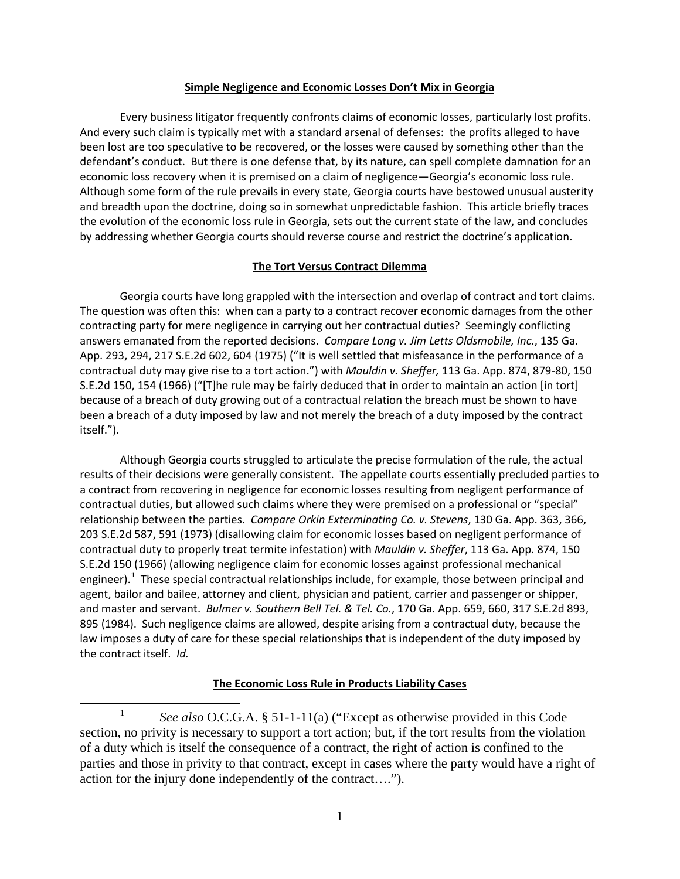### **Simple Negligence and Economic Losses Don't Mix in Georgia**

Every business litigator frequently confronts claims of economic losses, particularly lost profits. And every such claim is typically met with a standard arsenal of defenses: the profits alleged to have been lost are too speculative to be recovered, or the losses were caused by something other than the defendant's conduct. But there is one defense that, by its nature, can spell complete damnation for an economic loss recovery when it is premised on a claim of negligence—Georgia's economic loss rule. Although some form of the rule prevails in every state, Georgia courts have bestowed unusual austerity and breadth upon the doctrine, doing so in somewhat unpredictable fashion. This article briefly traces the evolution of the economic loss rule in Georgia, sets out the current state of the law, and concludes by addressing whether Georgia courts should reverse course and restrict the doctrine's application.

### **The Tort Versus Contract Dilemma**

Georgia courts have long grappled with the intersection and overlap of contract and tort claims. The question was often this: when can a party to a contract recover economic damages from the other contracting party for mere negligence in carrying out her contractual duties? Seemingly conflicting answers emanated from the reported decisions. *Compare Long v. Jim Letts Oldsmobile, Inc.*, 135 Ga. App. 293, 294, 217 S.E.2d 602, 604 (1975) ("It is well settled that misfeasance in the performance of a contractual duty may give rise to a tort action.") with *Mauldin v. Sheffer,* 113 Ga. App. 874, 879-80, 150 S.E.2d 150, 154 (1966) ("[T]he rule may be fairly deduced that in order to maintain an action [in tort] because of a breach of duty growing out of a contractual relation the breach must be shown to have been a breach of a duty imposed by law and not merely the breach of a duty imposed by the contract itself.").

Although Georgia courts struggled to articulate the precise formulation of the rule, the actual results of their decisions were generally consistent. The appellate courts essentially precluded parties to a contract from recovering in negligence for economic losses resulting from negligent performance of contractual duties, but allowed such claims where they were premised on a professional or "special" relationship between the parties. *Compare Orkin Exterminating Co. v. Stevens*, 130 Ga. App. 363, 366, 203 S.E.2d 587, 591 (1973) (disallowing claim for economic losses based on negligent performance of contractual duty to properly treat termite infestation) with *Mauldin v. Sheffer*, 113 Ga. App. 874, 150 S.E.2d 150 (1966) (allowing negligence claim for economic losses against professional mechanical engineer).<sup>[1](#page-0-0)</sup> These special contractual relationships include, for example, those between principal and agent, bailor and bailee, attorney and client, physician and patient, carrier and passenger or shipper, and master and servant. *Bulmer v. Southern Bell Tel. & Tel. Co.*, 170 Ga. App. 659, 660, 317 S.E.2d 893, 895 (1984). Such negligence claims are allowed, despite arising from a contractual duty, because the law imposes a duty of care for these special relationships that is independent of the duty imposed by the contract itself. *Id.*

# **The Economic Loss Rule in Products Liability Cases**

<span id="page-0-0"></span><sup>&</sup>lt;sup>1</sup> *See also* O.C.G.A. § 51-1-11(a) ("Except as otherwise provided in this Code section, no privity is necessary to support a tort action; but, if the tort results from the violation of a duty which is itself the consequence of a contract, the right of action is confined to the parties and those in privity to that contract, except in cases where the party would have a right of action for the injury done independently of the contract….").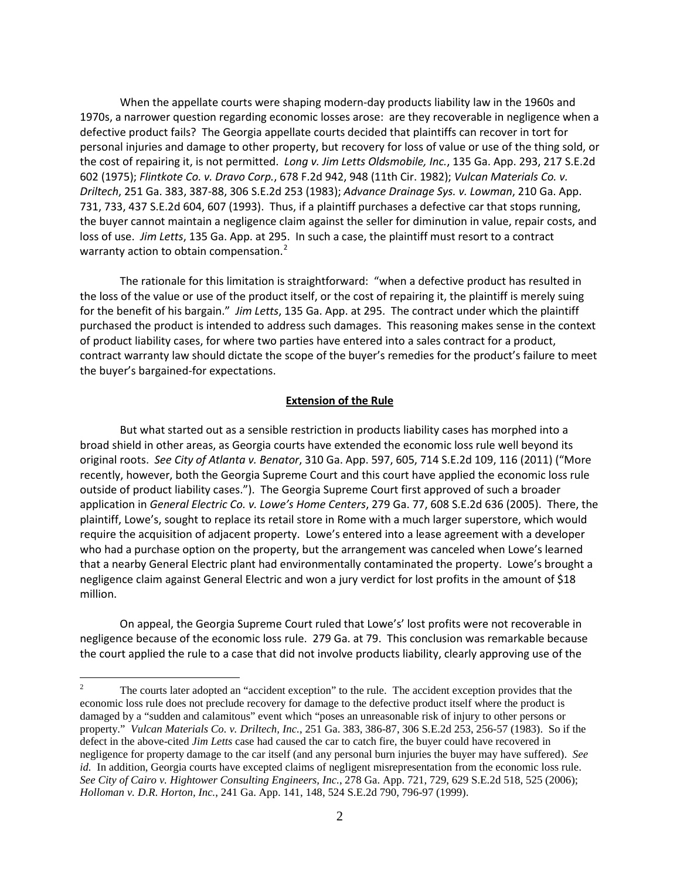When the appellate courts were shaping modern-day products liability law in the 1960s and 1970s, a narrower question regarding economic losses arose: are they recoverable in negligence when a defective product fails? The Georgia appellate courts decided that plaintiffs can recover in tort for personal injuries and damage to other property, but recovery for loss of value or use of the thing sold, or the cost of repairing it, is not permitted. *Long v. Jim Letts Oldsmobile, Inc.*, 135 Ga. App. 293, 217 S.E.2d 602 (1975); *Flintkote Co. v. Dravo Corp.*, 678 F.2d 942, 948 (11th Cir. 1982); *Vulcan Materials Co. v. Driltech*, 251 Ga. 383, 387-88, 306 S.E.2d 253 (1983); *Advance Drainage Sys. v. Lowman*, 210 Ga. App. 731, 733, 437 S.E.2d 604, 607 (1993). Thus, if a plaintiff purchases a defective car that stops running, the buyer cannot maintain a negligence claim against the seller for diminution in value, repair costs, and loss of use. *Jim Letts*, 135 Ga. App. at 295. In such a case, the plaintiff must resort to a contract warranty action to obtain compensation.<sup>[2](#page-1-0)</sup>

The rationale for this limitation is straightforward: "when a defective product has resulted in the loss of the value or use of the product itself, or the cost of repairing it, the plaintiff is merely suing for the benefit of his bargain." *Jim Letts*, 135 Ga. App. at 295. The contract under which the plaintiff purchased the product is intended to address such damages. This reasoning makes sense in the context of product liability cases, for where two parties have entered into a sales contract for a product, contract warranty law should dictate the scope of the buyer's remedies for the product's failure to meet the buyer's bargained-for expectations.

## **Extension of the Rule**

But what started out as a sensible restriction in products liability cases has morphed into a broad shield in other areas, as Georgia courts have extended the economic loss rule well beyond its original roots. *See City of Atlanta v. Benator*, 310 Ga. App. 597, 605, 714 S.E.2d 109, 116 (2011) ("More recently, however, both the Georgia Supreme Court and this court have applied the economic loss rule outside of product liability cases."). The Georgia Supreme Court first approved of such a broader application in *General Electric Co. v. Lowe's Home Centers*, 279 Ga. 77, 608 S.E.2d 636 (2005). There, the plaintiff, Lowe's, sought to replace its retail store in Rome with a much larger superstore, which would require the acquisition of adjacent property. Lowe's entered into a lease agreement with a developer who had a purchase option on the property, but the arrangement was canceled when Lowe's learned that a nearby General Electric plant had environmentally contaminated the property. Lowe's brought a negligence claim against General Electric and won a jury verdict for lost profits in the amount of \$18 million.

On appeal, the Georgia Supreme Court ruled that Lowe's' lost profits were not recoverable in negligence because of the economic loss rule. 279 Ga. at 79. This conclusion was remarkable because the court applied the rule to a case that did not involve products liability, clearly approving use of the

<span id="page-1-0"></span><sup>&</sup>lt;sup>2</sup> The courts later adopted an "accident exception" to the rule. The accident exception provides that the economic loss rule does not preclude recovery for damage to the defective product itself where the product is damaged by a "sudden and calamitous" event which "poses an unreasonable risk of injury to other persons or property." *Vulcan Materials Co. v. Driltech, Inc.*, 251 Ga. 383, 386-87, 306 S.E.2d 253, 256-57 (1983). So if the defect in the above-cited *Jim Letts* case had caused the car to catch fire, the buyer could have recovered in negligence for property damage to the car itself (and any personal burn injuries the buyer may have suffered). *See id.* In addition, Georgia courts have excepted claims of negligent misrepresentation from the economic loss rule. *See City of Cairo v. Hightower Consulting Engineers, Inc.*, 278 Ga. App. 721, 729, 629 S.E.2d 518, 525 (2006); *Holloman v. D.R. Horton, Inc.*, 241 Ga. App. 141, 148, 524 S.E.2d 790, 796-97 (1999).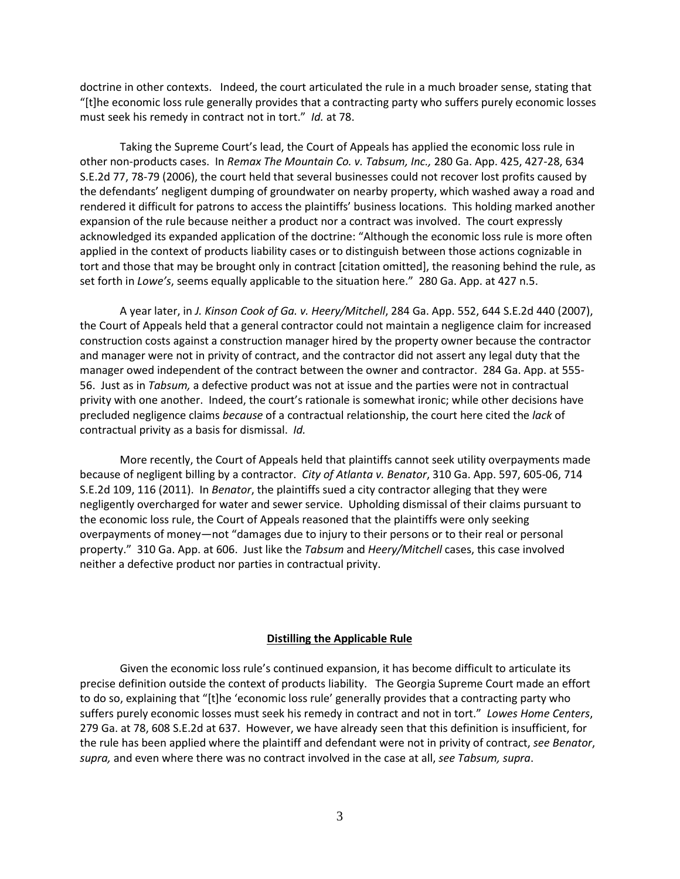doctrine in other contexts. Indeed, the court articulated the rule in a much broader sense, stating that "[t]he economic loss rule generally provides that a contracting party who suffers purely economic losses must seek his remedy in contract not in tort." *Id.* at 78.

Taking the Supreme Court's lead, the Court of Appeals has applied the economic loss rule in other non-products cases. In *Remax The Mountain Co. v. Tabsum, Inc.,* 280 Ga. App. 425, 427-28, 634 S.E.2d 77, 78-79 (2006), the court held that several businesses could not recover lost profits caused by the defendants' negligent dumping of groundwater on nearby property, which washed away a road and rendered it difficult for patrons to access the plaintiffs' business locations. This holding marked another expansion of the rule because neither a product nor a contract was involved. The court expressly acknowledged its expanded application of the doctrine: "Although the economic loss rule is more often applied in the context of products liability cases or to distinguish between those actions cognizable in tort and those that may be brought only in contract [citation omitted], the reasoning behind the rule, as set forth in *Lowe's*, seems equally applicable to the situation here." 280 Ga. App. at 427 n.5.

A year later, in *J. Kinson Cook of Ga. v. Heery/Mitchell*, 284 Ga. App. 552, 644 S.E.2d 440 (2007), the Court of Appeals held that a general contractor could not maintain a negligence claim for increased construction costs against a construction manager hired by the property owner because the contractor and manager were not in privity of contract, and the contractor did not assert any legal duty that the manager owed independent of the contract between the owner and contractor. 284 Ga. App. at 555- 56. Just as in *Tabsum,* a defective product was not at issue and the parties were not in contractual privity with one another. Indeed, the court's rationale is somewhat ironic; while other decisions have precluded negligence claims *because* of a contractual relationship, the court here cited the *lack* of contractual privity as a basis for dismissal. *Id.*

More recently, the Court of Appeals held that plaintiffs cannot seek utility overpayments made because of negligent billing by a contractor. *City of Atlanta v. Benator*, 310 Ga. App. 597, 605-06, 714 S.E.2d 109, 116 (2011). In *Benator*, the plaintiffs sued a city contractor alleging that they were negligently overcharged for water and sewer service. Upholding dismissal of their claims pursuant to the economic loss rule, the Court of Appeals reasoned that the plaintiffs were only seeking overpayments of money—not "damages due to injury to their persons or to their real or personal property." 310 Ga. App. at 606. Just like the *Tabsum* and *Heery/Mitchell* cases, this case involved neither a defective product nor parties in contractual privity.

### **Distilling the Applicable Rule**

Given the economic loss rule's continued expansion, it has become difficult to articulate its precise definition outside the context of products liability. The Georgia Supreme Court made an effort to do so, explaining that "[t]he 'economic loss rule' generally provides that a contracting party who suffers purely economic losses must seek his remedy in contract and not in tort." *Lowes Home Centers*, 279 Ga. at 78, 608 S.E.2d at 637. However, we have already seen that this definition is insufficient, for the rule has been applied where the plaintiff and defendant were not in privity of contract, *see Benator*, *supra,* and even where there was no contract involved in the case at all, *see Tabsum, supra*.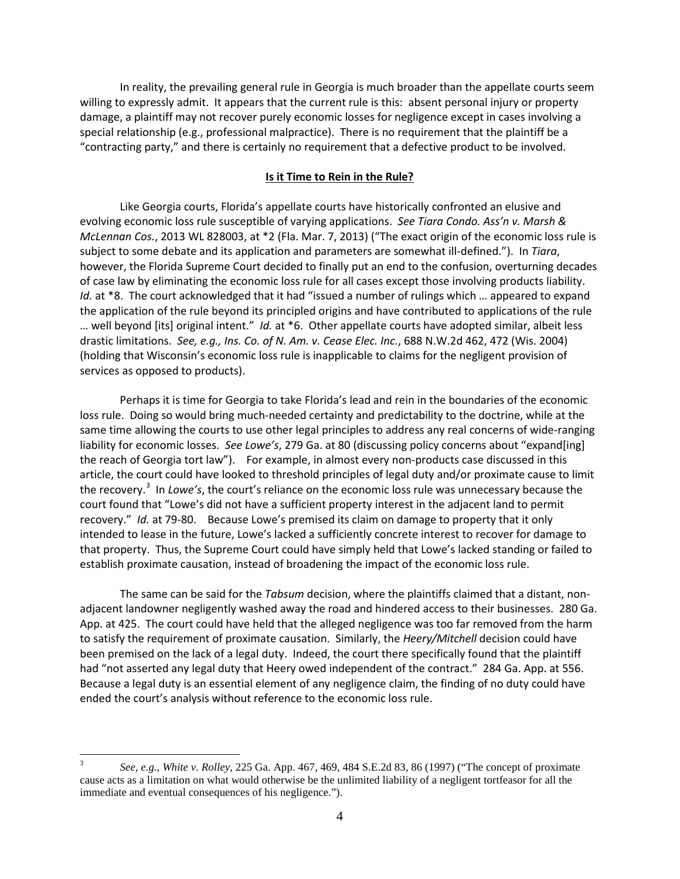In reality, the prevailing general rule in Georgia is much broader than the appellate courts seem willing to expressly admit. It appears that the current rule is this: absent personal injury or property damage, a plaintiff may not recover purely economic losses for negligence except in cases involving a special relationship (e.g., professional malpractice). There is no requirement that the plaintiff be a "contracting party," and there is certainly no requirement that a defective product to be involved.

# **Is it Time to Rein in the Rule?**

Like Georgia courts, Florida's appellate courts have historically confronted an elusive and evolving economic loss rule susceptible of varying applications. *See Tiara Condo. Ass'n v. Marsh & McLennan Cos.*, 2013 WL 828003, at \*2 (Fla. Mar. 7, 2013) ("The exact origin of the economic loss rule is subject to some debate and its application and parameters are somewhat ill-defined."). In *Tiara*, however, the Florida Supreme Court decided to finally put an end to the confusion, overturning decades of case law by eliminating the economic loss rule for all cases except those involving products liability. *Id.* at \*8. The court acknowledged that it had "issued a number of rulings which ... appeared to expand the application of the rule beyond its principled origins and have contributed to applications of the rule … well beyond [its] original intent." *Id.* at \*6. Other appellate courts have adopted similar, albeit less drastic limitations. *See, e.g., Ins. Co. of N. Am. v. Cease Elec. Inc.*, 688 N.W.2d 462, 472 (Wis. 2004) (holding that Wisconsin's economic loss rule is inapplicable to claims for the negligent provision of services as opposed to products).

Perhaps it is time for Georgia to take Florida's lead and rein in the boundaries of the economic loss rule. Doing so would bring much-needed certainty and predictability to the doctrine, while at the same time allowing the courts to use other legal principles to address any real concerns of wide-ranging liability for economic losses. *See Lowe's*, 279 Ga. at 80 (discussing policy concerns about "expand[ing] the reach of Georgia tort law"). For example, in almost every non-products case discussed in this article, the court could have looked to threshold principles of legal duty and/or proximate cause to limit the recovery.<sup>[3](#page-3-0)</sup> In *Lowe's*, the court's reliance on the economic loss rule was unnecessary because the court found that "Lowe's did not have a sufficient property interest in the adjacent land to permit recovery." *Id.* at 79-80. Because Lowe's premised its claim on damage to property that it only intended to lease in the future, Lowe's lacked a sufficiently concrete interest to recover for damage to that property. Thus, the Supreme Court could have simply held that Lowe's lacked standing or failed to establish proximate causation, instead of broadening the impact of the economic loss rule.

The same can be said for the *Tabsum* decision, where the plaintiffs claimed that a distant, nonadjacent landowner negligently washed away the road and hindered access to their businesses. 280 Ga. App. at 425. The court could have held that the alleged negligence was too far removed from the harm to satisfy the requirement of proximate causation. Similarly, the *Heery/Mitchell* decision could have been premised on the lack of a legal duty. Indeed, the court there specifically found that the plaintiff had "not asserted any legal duty that Heery owed independent of the contract." 284 Ga. App. at 556. Because a legal duty is an essential element of any negligence claim, the finding of no duty could have ended the court's analysis without reference to the economic loss rule.

<span id="page-3-0"></span> <sup>3</sup> *See, e.g., White v. Rolley*, 225 Ga. App. 467, 469, 484 S.E.2d 83, 86 (1997) ("The concept of proximate cause acts as a limitation on what would otherwise be the unlimited liability of a negligent tortfeasor for all the immediate and eventual consequences of his negligence.").